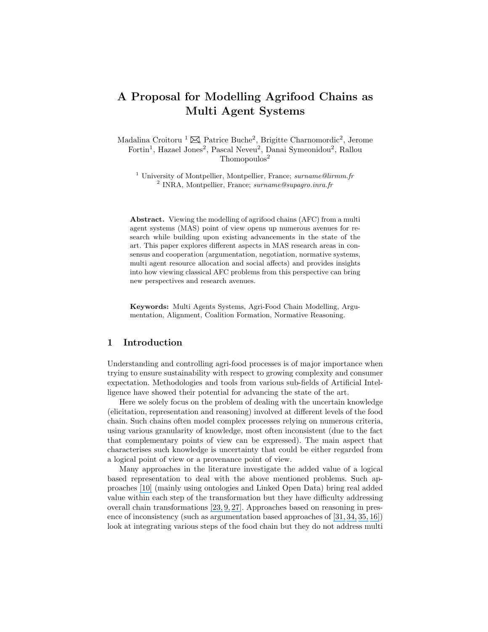# A Proposal for Modelling Agrifood Chains as Multi Agent Systems

Madalina Croitoru <sup>1</sup>  $\boxtimes$ , Patrice Buche<sup>2</sup>, Brigitte Charnomordic<sup>2</sup>, Jerome Fortin<sup>1</sup>, Hazael Jones<sup>2</sup>, Pascal Neveu<sup>2</sup>, Danai Symeonidou<sup>2</sup>, Rallou Thomopoulos<sup>2</sup>

<sup>1</sup> University of Montpellier, Montpellier, France; *surname@lirmm.fr* <sup>2</sup> INRA, Montpellier, France; *surname@supagro.inra.fr*

Abstract. Viewing the modelling of agrifood chains (AFC) from a multi agent systems (MAS) point of view opens up numerous avenues for research while building upon existing advancements in the state of the art. This paper explores different aspects in MAS research areas in consensus and cooperation (argumentation, negotiation, normative systems, multi agent resource allocation and social affects) and provides insights into how viewing classical AFC problems from this perspective can bring new perspectives and research avenues.

Keywords: Multi Agents Systems, Agri-Food Chain Modelling, Argumentation, Alignment, Coalition Formation, Normative Reasoning.

## 1 Introduction

Understanding and controlling agri-food processes is of major importance when trying to ensure sustainability with respect to growing complexity and consumer expectation. Methodologies and tools from various sub-fields of Artificial Intelligence have showed their potential for advancing the state of the art.

Here we solely focus on the problem of dealing with the uncertain knowledge (elicitation, representation and reasoning) involved at different levels of the food chain. Such chains often model complex processes relying on numerous criteria, using various granularity of knowledge, most often inconsistent (due to the fact that complementary points of view can be expressed). The main aspect that characterises such knowledge is uncertainty that could be either regarded from a logical point of view or a provenance point of view.

Many approaches in the literature investigate the added value of a logical based representation to deal with the above mentioned problems. Such approaches [\[10\]](https://www.researchgate.net/publication/262599397_Linked_Data_the_story_so_far?el=1_x_8&enrichId=rgreq-af77ebbfa6c76780ab23ece073af8003-XXX&enrichSource=Y292ZXJQYWdlOzMwMzkwMTA0ODtBUzo0MjA0MzQ4NDg4Mjk0NDFAMTQ3NzI1MDg4NzI0Ng==) (mainly using ontologies and Linked Open Data) bring real added value within each step of the transformation but they have difficulty addressing overall chain transformations [\[23,](https://www.researchgate.net/publication/257737867_World-Wide_Semantic_Web_of_Agriculture_Knowledge?el=1_x_8&enrichId=rgreq-af77ebbfa6c76780ab23ece073af8003-XXX&enrichSource=Y292ZXJQYWdlOzMwMzkwMTA0ODtBUzo0MjA0MzQ4NDg4Mjk0NDFAMTQ3NzI1MDg4NzI0Ng==) [9,](https://www.researchgate.net/publication/262363579_Semantic_annotation_of_the_CEREALAB_database_by_the_AGROVOC_linked_dataset?el=1_x_8&enrichId=rgreq-af77ebbfa6c76780ab23ece073af8003-XXX&enrichSource=Y292ZXJQYWdlOzMwMzkwMTA0ODtBUzo0MjA0MzQ4NDg4Mjk0NDFAMTQ3NzI1MDg4NzI0Ng==) [27\]](https://www.researchgate.net/publication/281345679_Ontology_Based_Data_Access_and_Integration_for_Improving_the_Effectiveness_of_Farming_in_Nepal?el=1_x_8&enrichId=rgreq-af77ebbfa6c76780ab23ece073af8003-XXX&enrichSource=Y292ZXJQYWdlOzMwMzkwMTA0ODtBUzo0MjA0MzQ4NDg4Mjk0NDFAMTQ3NzI1MDg4NzI0Ng==). Approaches based on reasoning in presence of inconsistency (such as argumentation based approaches of [\[31,](https://www.researchgate.net/publication/266564966_Conflicting_viewpoint_relational_database_querying_An_argumentation_approach?el=1_x_8&enrichId=rgreq-af77ebbfa6c76780ab23ece073af8003-XXX&enrichSource=Y292ZXJQYWdlOzMwMzkwMTA0ODtBUzo0MjA0MzQ4NDg4Mjk0NDFAMTQ3NzI1MDg4NzI0Ng==) [34,](https://www.researchgate.net/publication/274263890_An_argumentation_system_for_eco-efficient_packaging_material_selection?el=1_x_8&enrichId=rgreq-af77ebbfa6c76780ab23ece073af8003-XXX&enrichSource=Y292ZXJQYWdlOzMwMzkwMTA0ODtBUzo0MjA0MzQ4NDg4Mjk0NDFAMTQ3NzI1MDg4NzI0Ng==) [35,](https://www.researchgate.net/publication/263093721_Decision_Support_for_Agri-Food_Chains_A_Reverse_Engineering_Argumentation-Based_Approach?el=1_x_8&enrichId=rgreq-af77ebbfa6c76780ab23ece073af8003-XXX&enrichSource=Y292ZXJQYWdlOzMwMzkwMTA0ODtBUzo0MjA0MzQ4NDg4Mjk0NDFAMTQ3NzI1MDg4NzI0Ng==) [16\]](https://www.researchgate.net/publication/274709242_A_Practical_Application_of_Argumentation_in_French_Agrifood_Chains?el=1_x_8&enrichId=rgreq-af77ebbfa6c76780ab23ece073af8003-XXX&enrichSource=Y292ZXJQYWdlOzMwMzkwMTA0ODtBUzo0MjA0MzQ4NDg4Mjk0NDFAMTQ3NzI1MDg4NzI0Ng==)) look at integrating various steps of the food chain but they do not address multi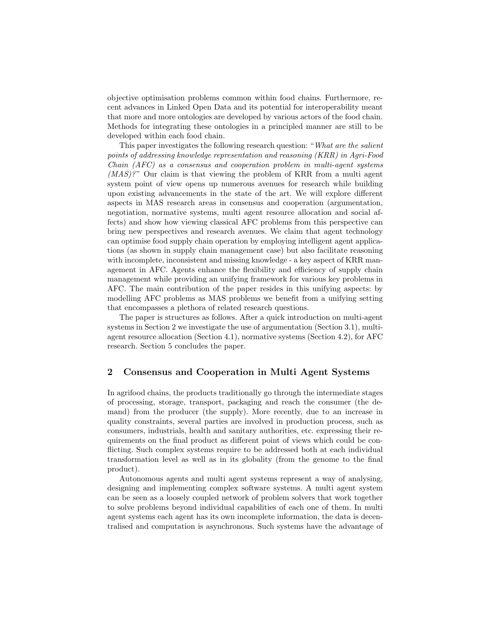objective optimisation problems common within food chains. Furthermore, recent advances in Linked Open Data and its potential for interoperability meant that more and more ontologies are developed by various actors of the food chain. Methods for integrating these ontologies in a principled manner are still to be developed within each food chain.

This paper investigates the following research question: "*What are the salient points of addressing knowledge representation and reasoning (KRR) in Agri-Food Chain (AFC) as a consensus and cooperation problem in multi-agent systems (MAS)?*" Our claim is that viewing the problem of KRR from a multi agent system point of view opens up numerous avenues for research while building upon existing advancements in the state of the art. We will explore different aspects in MAS research areas in consensus and cooperation (argumentation, negotiation, normative systems, multi agent resource allocation and social affects) and show how viewing classical AFC problems from this perspective can bring new perspectives and research avenues. We claim that agent technology can optimise food supply chain operation by employing intelligent agent applications (as shown in supply chain management case) but also facilitate reasoning with incomplete, inconsistent and missing knowledge - a key aspect of KRR management in AFC. Agents enhance the flexibility and efficiency of supply chain management while providing an unifying framework for various key problems in AFC. The main contribution of the paper resides in this unifying aspects: by modelling AFC problems as MAS problems we benefit from a unifying setting that encompasses a plethora of related research questions.

The paper is structures as follows. After a quick introduction on multi-agent systems in Section 2 we investigate the use of argumentation (Section 3.1), multiagent resource allocation (Section 4.1), normative systems (Section 4.2), for AFC research. Section 5 concludes the paper.

### 2 Consensus and Cooperation in Multi Agent Systems

In agrifood chains, the products traditionally go through the intermediate stages of processing, storage, transport, packaging and reach the consumer (the demand) from the producer (the supply). More recently, due to an increase in quality constraints, several parties are involved in production process, such as consumers, industrials, health and sanitary authorities, etc. expressing their requirements on the final product as different point of views which could be conflicting. Such complex systems require to be addressed both at each individual transformation level as well as in its globality (from the genome to the final product).

Autonomous agents and multi agent systems represent a way of analysing, designing and implementing complex software systems. A multi agent system can be seen as a loosely coupled network of problem solvers that work together to solve problems beyond individual capabilities of each one of them. In multi agent systems each agent has its own incomplete information, the data is decentralised and computation is asynchronous. Such systems have the advantage of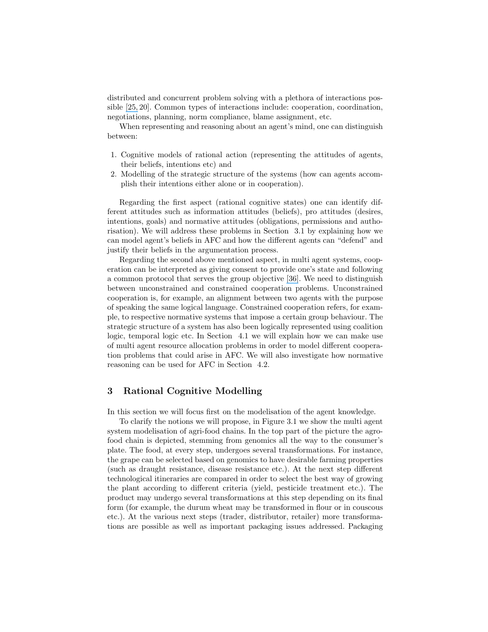distributed and concurrent problem solving with a plethora of interactions possible [\[25,](https://www.researchgate.net/publication/303187359_Consensus_and_cooperation_in_networked_multi-agent_systems?el=1_x_8&enrichId=rgreq-af77ebbfa6c76780ab23ece073af8003-XXX&enrichSource=Y292ZXJQYWdlOzMwMzkwMTA0ODtBUzo0MjA0MzQ4NDg4Mjk0NDFAMTQ3NzI1MDg4NzI0Ng==) 20]. Common types of interactions include: cooperation, coordination, negotiations, planning, norm compliance, blame assignment, etc.

When representing and reasoning about an agent's mind, one can distinguish between:

- 1. Cognitive models of rational action (representing the attitudes of agents, their beliefs, intentions etc) and
- 2. Modelling of the strategic structure of the systems (how can agents accomplish their intentions either alone or in cooperation).

Regarding the first aspect (rational cognitive states) one can identify different attitudes such as information attitudes (beliefs), pro attitudes (desires, intentions, goals) and normative attitudes (obligations, permissions and authorisation). We will address these problems in Section 3.1 by explaining how we can model agent's beliefs in AFC and how the different agents can "defend" and justify their beliefs in the argumentation process.

Regarding the second above mentioned aspect, in multi agent systems, cooperation can be interpreted as giving consent to provide one's state and following a common protocol that serves the group objective [\[36\]](https://www.researchgate.net/publication/222675562_On_the_logic_of_cooperation_and_propositional_control?el=1_x_8&enrichId=rgreq-af77ebbfa6c76780ab23ece073af8003-XXX&enrichSource=Y292ZXJQYWdlOzMwMzkwMTA0ODtBUzo0MjA0MzQ4NDg4Mjk0NDFAMTQ3NzI1MDg4NzI0Ng==). We need to distinguish between unconstrained and constrained cooperation problems. Unconstrained cooperation is, for example, an alignment between two agents with the purpose of speaking the same logical language. Constrained cooperation refers, for example, to respective normative systems that impose a certain group behaviour. The strategic structure of a system has also been logically represented using coalition logic, temporal logic etc. In Section 4.1 we will explain how we can make use of multi agent resource allocation problems in order to model different cooperation problems that could arise in AFC. We will also investigate how normative reasoning can be used for AFC in Section 4.2.

# 3 Rational Cognitive Modelling

In this section we will focus first on the modelisation of the agent knowledge.

To clarify the notions we will propose, in Figure 3.1 we show the multi agent system modelisation of agri-food chains. In the top part of the picture the agrofood chain is depicted, stemming from genomics all the way to the consumer's plate. The food, at every step, undergoes several transformations. For instance, the grape can be selected based on genomics to have desirable farming properties (such as draught resistance, disease resistance etc.). At the next step different technological itineraries are compared in order to select the best way of growing the plant according to different criteria (yield, pesticide treatment etc.). The product may undergo several transformations at this step depending on its final form (for example, the durum wheat may be transformed in flour or in couscous etc.). At the various next steps (trader, distributor, retailer) more transformations are possible as well as important packaging issues addressed. Packaging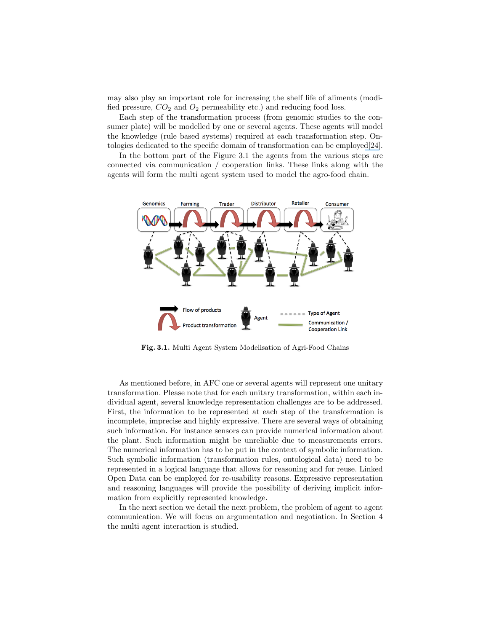may also play an important role for increasing the shelf life of aliments (modified pressure,  $CO_2$  and  $O_2$  permeability etc.) and reducing food loss.

Each step of the transformation process (from genomic studies to the consumer plate) will be modelled by one or several agents. These agents will model the knowledge (rule based systems) required at each transformation step. Ontologies dedicated to the specific domain of transformation can be employe[d\[24\]](https://www.researchgate.net/publication/270589815_Ontology-Based_Model_for_Food_Transformation_Processes_-_Application_to_Winemaking?el=1_x_8&enrichId=rgreq-af77ebbfa6c76780ab23ece073af8003-XXX&enrichSource=Y292ZXJQYWdlOzMwMzkwMTA0ODtBUzo0MjA0MzQ4NDg4Mjk0NDFAMTQ3NzI1MDg4NzI0Ng==).

In the bottom part of the Figure 3.1 the agents from the various steps are connected via communication / cooperation links. These links along with the agents will form the multi agent system used to model the agro-food chain.



Fig. 3.1. Multi Agent System Modelisation of Agri-Food Chains

As mentioned before, in AFC one or several agents will represent one unitary transformation. Please note that for each unitary transformation, within each individual agent, several knowledge representation challenges are to be addressed. First, the information to be represented at each step of the transformation is incomplete, imprecise and highly expressive. There are several ways of obtaining such information. For instance sensors can provide numerical information about the plant. Such information might be unreliable due to measurements errors. The numerical information has to be put in the context of symbolic information. Such symbolic information (transformation rules, ontological data) need to be represented in a logical language that allows for reasoning and for reuse. Linked Open Data can be employed for re-usability reasons. Expressive representation and reasoning languages will provide the possibility of deriving implicit information from explicitly represented knowledge.

In the next section we detail the next problem, the problem of agent to agent communication. We will focus on argumentation and negotiation. In Section 4 the multi agent interaction is studied.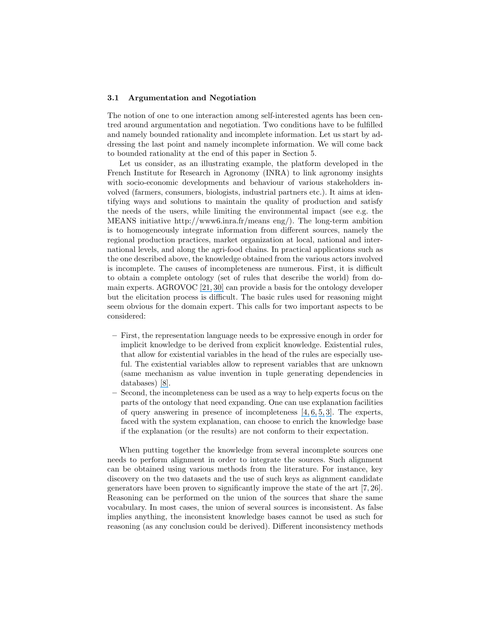#### 3.1 Argumentation and Negotiation

The notion of one to one interaction among self-interested agents has been centred around argumentation and negotiation. Two conditions have to be fulfilled and namely bounded rationality and incomplete information. Let us start by addressing the last point and namely incomplete information. We will come back to bounded rationality at the end of this paper in Section 5.

Let us consider, as an illustrating example, the platform developed in the French Institute for Research in Agronomy (INRA) to link agronomy insights with socio-economic developments and behaviour of various stakeholders involved (farmers, consumers, biologists, industrial partners etc.). It aims at identifying ways and solutions to maintain the quality of production and satisfy the needs of the users, while limiting the environmental impact (see e.g. the MEANS initiative http://www6.inra.fr/means eng/). The long-term ambition is to homogeneously integrate information from different sources, namely the regional production practices, market organization at local, national and international levels, and along the agri-food chains. In practical applications such as the one described above, the knowledge obtained from the various actors involved is incomplete. The causes of incompleteness are numerous. First, it is difficult to obtain a complete ontology (set of rules that describe the world) from domain experts. AGROVOC [\[21,](https://www.researchgate.net/publication/221218539_From_AGROVOC_to_the_Agricultural_Ontology_Service_Concept_Server_-_An_OWL_Model_for_Creating_Ontologies_in_the_Agricultural_Domain?el=1_x_8&enrichId=rgreq-af77ebbfa6c76780ab23ece073af8003-XXX&enrichSource=Y292ZXJQYWdlOzMwMzkwMTA0ODtBUzo0MjA0MzQ4NDg4Mjk0NDFAMTQ3NzI1MDg4NzI0Ng==) [30\]](https://www.researchgate.net/publication/220357334_Reengineering_Thesauri_for_New_Applications_The_AGROVOC_Example?el=1_x_8&enrichId=rgreq-af77ebbfa6c76780ab23ece073af8003-XXX&enrichSource=Y292ZXJQYWdlOzMwMzkwMTA0ODtBUzo0MjA0MzQ4NDg4Mjk0NDFAMTQ3NzI1MDg4NzI0Ng==) can provide a basis for the ontology developer but the elicitation process is difficult. The basic rules used for reasoning might seem obvious for the domain expert. This calls for two important aspects to be considered:

- First, the representation language needs to be expressive enough in order for implicit knowledge to be derived from explicit knowledge. Existential rules, that allow for existential variables in the head of the rules are especially useful. The existential variables allow to represent variables that are unknown (same mechanism as value invention in tuple generating dependencies in databases) [\[8\]](https://www.researchgate.net/publication/220813386_Walking_the_Complexity_Lines_for_Generalized_Guarded_Existential_Rules?el=1_x_8&enrichId=rgreq-af77ebbfa6c76780ab23ece073af8003-XXX&enrichSource=Y292ZXJQYWdlOzMwMzkwMTA0ODtBUzo0MjA0MzQ4NDg4Mjk0NDFAMTQ3NzI1MDg4NzI0Ng==).
- Second, the incompleteness can be used as a way to help experts focus on the parts of the ontology that need expanding. One can use explanation facilities of query answering in presence of incompleteness  $[4, 6, 5, 3]$  $[4, 6, 5, 3]$  $[4, 6, 5, 3]$  $[4, 6, 5, 3]$ . The experts, faced with the system explanation, can choose to enrich the knowledge base if the explanation (or the results) are not conform to their expectation.

When putting together the knowledge from several incomplete sources one needs to perform alignment in order to integrate the sources. Such alignment can be obtained using various methods from the literature. For instance, key discovery on the two datasets and the use of such keys as alignment candidate generators have been proven to significantly improve the state of the art [7, 26]. Reasoning can be performed on the union of the sources that share the same vocabulary. In most cases, the union of several sources is inconsistent. As false implies anything, the inconsistent knowledge bases cannot be used as such for reasoning (as any conclusion could be derived). Different inconsistency methods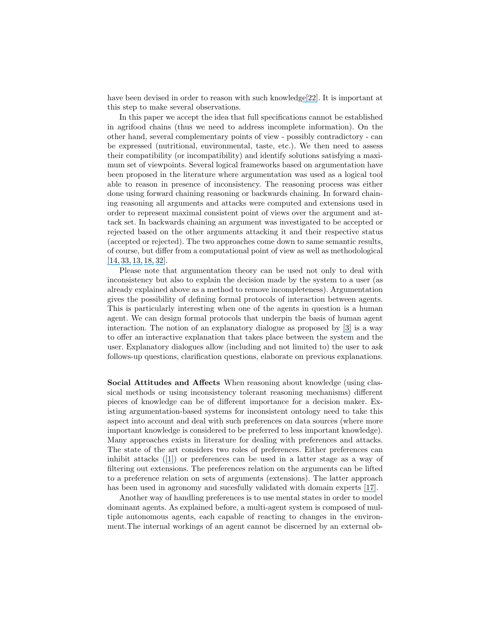have been devised in order to reason with such knowledg[e\[22\]](https://www.researchgate.net/publication/221211700_Inconsistency-Tolerant_Semantics_for_Description_Logics?el=1_x_8&enrichId=rgreq-af77ebbfa6c76780ab23ece073af8003-XXX&enrichSource=Y292ZXJQYWdlOzMwMzkwMTA0ODtBUzo0MjA0MzQ4NDg4Mjk0NDFAMTQ3NzI1MDg4NzI0Ng==). It is important at this step to make several observations.

In this paper we accept the idea that full specifications cannot be established in agrifood chains (thus we need to address incomplete information). On the other hand, several complementary points of view - possibly contradictory - can be expressed (nutritional, environmental, taste, etc.). We then need to assess their compatibility (or incompatibility) and identify solutions satisfying a maximum set of viewpoints. Several logical frameworks based on argumentation have been proposed in the literature where argumentation was used as a logical tool able to reason in presence of inconsistency. The reasoning process was either done using forward chaining reasoning or backwards chaining. In forward chaining reasoning all arguments and attacks were computed and extensions used in order to represent maximal consistent point of views over the argument and attack set. In backwards chaining an argument was investigated to be accepted or rejected based on the other arguments attacking it and their respective status (accepted or rejected). The two approaches come down to same semantic results, of course, but differ from a computational point of view as well as methodological [\[14,](https://www.researchgate.net/publication/260351321_Arguing_with_Preferences_in_EcoBioCap?el=1_x_8&enrichId=rgreq-af77ebbfa6c76780ab23ece073af8003-XXX&enrichSource=Y292ZXJQYWdlOzMwMzkwMTA0ODtBUzo0MjA0MzQ4NDg4Mjk0NDFAMTQ3NzI1MDg4NzI0Ng==) [33,](https://www.researchgate.net/publication/265468524_Eco-Efficient_Packaging_Material_Selection_for_Fresh_Produce_Industrial_Session?el=1_x_8&enrichId=rgreq-af77ebbfa6c76780ab23ece073af8003-XXX&enrichSource=Y292ZXJQYWdlOzMwMzkwMTA0ODtBUzo0MjA0MzQ4NDg4Mjk0NDFAMTQ3NzI1MDg4NzI0Ng==) [13,](https://www.researchgate.net/publication/278627018_Bio-Sourced_and_Biodegradable_Packaging_design_Using_Argumentation_to_Aggregate_Stakeholder_Preferences?el=1_x_8&enrichId=rgreq-af77ebbfa6c76780ab23ece073af8003-XXX&enrichSource=Y292ZXJQYWdlOzMwMzkwMTA0ODtBUzo0MjA0MzQ4NDg4Mjk0NDFAMTQ3NzI1MDg4NzI0Ng==) [18,](https://www.researchgate.net/publication/273401799_A_Decision_Support_System_to_design_modified_atmosphere_packaging_for_fresh_produce_based_on_a_bipolar_flexible_querying_approach?el=1_x_8&enrichId=rgreq-af77ebbfa6c76780ab23ece073af8003-XXX&enrichSource=Y292ZXJQYWdlOzMwMzkwMTA0ODtBUzo0MjA0MzQ4NDg4Mjk0NDFAMTQ3NzI1MDg4NzI0Ng==) [32\]](https://www.researchgate.net/publication/281886378_A_Food_Packaging_Use_Case_for_Argumentation?el=1_x_8&enrichId=rgreq-af77ebbfa6c76780ab23ece073af8003-XXX&enrichSource=Y292ZXJQYWdlOzMwMzkwMTA0ODtBUzo0MjA0MzQ4NDg4Mjk0NDFAMTQ3NzI1MDg4NzI0Ng==).

Please note that argumentation theory can be used not only to deal with inconsistency but also to explain the decision made by the system to a user (as already explained above as a method to remove incompleteness). Argumentation gives the possibility of defining formal protocols of interaction between agents. This is particularly interesting when one of the agents in question is a human agent. We can design formal protocols that underpin the basis of human agent interaction. The notion of an explanatory dialogue as proposed by [\[3\]](https://www.researchgate.net/publication/280671413_Formalizing_Explanatory_Dialogues?el=1_x_8&enrichId=rgreq-af77ebbfa6c76780ab23ece073af8003-XXX&enrichSource=Y292ZXJQYWdlOzMwMzkwMTA0ODtBUzo0MjA0MzQ4NDg4Mjk0NDFAMTQ3NzI1MDg4NzI0Ng==) is a way to offer an interactive explanation that takes place between the system and the user. Explanatory dialogues allow (including and not limited to) the user to ask follows-up questions, clarification questions, elaborate on previous explanations.

Social Attitudes and Affects When reasoning about knowledge (using classical methods or using inconsistency tolerant reasoning mechanisms) different pieces of knowledge can be of different importance for a decision maker. Existing argumentation-based systems for inconsistent ontology need to take this aspect into account and deal with such preferences on data sources (where more important knowledge is considered to be preferred to less important knowledge). Many approaches exists in literature for dealing with preferences and attacks. The state of the art considers two roles of preferences. Either preferences can inhibit attacks [\(\[1\]](https://www.researchgate.net/publication/220907750_Two_Roles_of_Preferences_in_Argumentation_Frameworks?el=1_x_8&enrichId=rgreq-af77ebbfa6c76780ab23ece073af8003-XXX&enrichSource=Y292ZXJQYWdlOzMwMzkwMTA0ODtBUzo0MjA0MzQ4NDg4Mjk0NDFAMTQ3NzI1MDg4NzI0Ng==)) or preferences can be used in a latter stage as a way of filtering out extensions. The preferences relation on the arguments can be lifted to a preference relation on sets of arguments (extensions). The latter approach has been used in agronomy and sucesfully validated with domain experts [\[17\]](https://www.researchgate.net/publication/300250355_Introducing_Preference-Based_Argumentation_to_Inconsistent_Ontological_Knowledge_Bases?el=1_x_8&enrichId=rgreq-af77ebbfa6c76780ab23ece073af8003-XXX&enrichSource=Y292ZXJQYWdlOzMwMzkwMTA0ODtBUzo0MjA0MzQ4NDg4Mjk0NDFAMTQ3NzI1MDg4NzI0Ng==).

Another way of handling preferences is to use mental states in order to model dominant agents. As explained before, a multi-agent system is composed of multiple autonomous agents, each capable of reacting to changes in the environment.The internal workings of an agent cannot be discerned by an external ob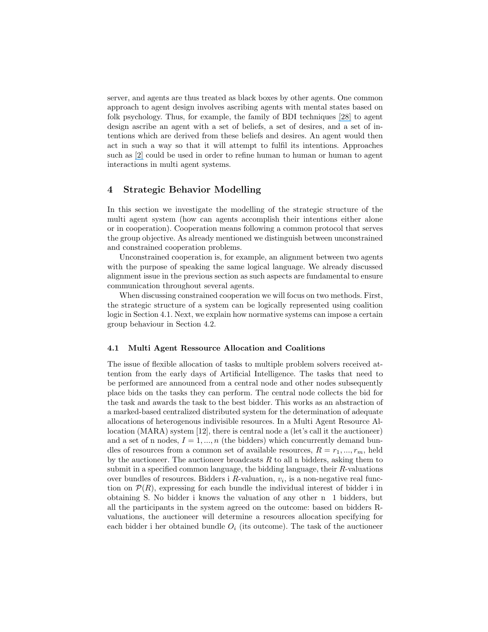server, and agents are thus treated as black boxes by other agents. One common approach to agent design involves ascribing agents with mental states based on folk psychology. Thus, for example, the family of BDI techniques [\[28\]](https://www.researchgate.net/publication/2319611_BDI_agents_From_theory_to_practice?el=1_x_8&enrichId=rgreq-af77ebbfa6c76780ab23ece073af8003-XXX&enrichSource=Y292ZXJQYWdlOzMwMzkwMTA0ODtBUzo0MjA0MzQ4NDg4Mjk0NDFAMTQ3NzI1MDg4NzI0Ng==) to agent design ascribe an agent with a set of beliefs, a set of desires, and a set of intentions which are derived from these beliefs and desires. An agent would then act in such a way so that it will attempt to fulfil its intentions. Approaches such as [\[2\]](https://www.researchgate.net/publication/257652386_The_TARDIS_Framework_Intelligent_Virtual_Agents_for_Social_Coaching_in_Job_Interviews?el=1_x_8&enrichId=rgreq-af77ebbfa6c76780ab23ece073af8003-XXX&enrichSource=Y292ZXJQYWdlOzMwMzkwMTA0ODtBUzo0MjA0MzQ4NDg4Mjk0NDFAMTQ3NzI1MDg4NzI0Ng==) could be used in order to refine human to human or human to agent interactions in multi agent systems.

## 4 Strategic Behavior Modelling

In this section we investigate the modelling of the strategic structure of the multi agent system (how can agents accomplish their intentions either alone or in cooperation). Cooperation means following a common protocol that serves the group objective. As already mentioned we distinguish between unconstrained and constrained cooperation problems.

Unconstrained cooperation is, for example, an alignment between two agents with the purpose of speaking the same logical language. We already discussed alignment issue in the previous section as such aspects are fundamental to ensure communication throughout several agents.

When discussing constrained cooperation we will focus on two methods. First, the strategic structure of a system can be logically represented using coalition logic in Section 4.1. Next, we explain how normative systems can impose a certain group behaviour in Section 4.2.

#### 4.1 Multi Agent Ressource Allocation and Coalitions

The issue of flexible allocation of tasks to multiple problem solvers received attention from the early days of Artificial Intelligence. The tasks that need to be performed are announced from a central node and other nodes subsequently place bids on the tasks they can perform. The central node collects the bid for the task and awards the task to the best bidder. This works as an abstraction of a marked-based centralized distributed system for the determination of adequate allocations of heterogenous indivisible resources. In a Multi Agent Resource Allocation (MARA) system [12], there is central node a (let's call it the auctioneer) and a set of n nodes,  $I = 1, ..., n$  (the bidders) which concurrently demand bundles of resources from a common set of available resources,  $R = r_1, ..., r_m$ , held by the auctioneer. The auctioneer broadcasts  $R$  to all n bidders, asking them to submit in a specified common language, the bidding language, their *R*-valuations over bundles of resources. Bidders i *R*-valuation, *vi*, is a non-negative real function on  $\mathcal{P}(R)$ , expressing for each bundle the individual interest of bidder i in obtaining S. No bidder i knows the valuation of any other n 1 bidders, but all the participants in the system agreed on the outcome: based on bidders Rvaluations, the auctioneer will determine a resources allocation specifying for each bidder i her obtained bundle  $O_i$  (its outcome). The task of the auctioneer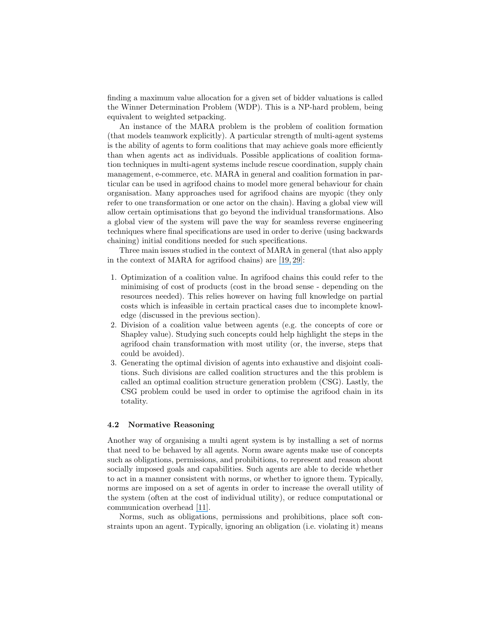finding a maximum value allocation for a given set of bidder valuations is called the Winner Determination Problem (WDP). This is a NP-hard problem, being equivalent to weighted setpacking.

An instance of the MARA problem is the problem of coalition formation (that models teamwork explicitly). A particular strength of multi-agent systems is the ability of agents to form coalitions that may achieve goals more efficiently than when agents act as individuals. Possible applications of coalition formation techniques in multi-agent systems include rescue coordination, supply chain management, e-commerce, etc. MARA in general and coalition formation in particular can be used in agrifood chains to model more general behaviour for chain organisation. Many approaches used for agrifood chains are myopic (they only refer to one transformation or one actor on the chain). Having a global view will allow certain optimisations that go beyond the individual transformations. Also a global view of the system will pave the way for seamless reverse engineering techniques where final specifications are used in order to derive (using backwards chaining) initial conditions needed for such specifications.

Three main issues studied in the context of MARA in general (that also apply in the context of MARA for agrifood chains) are [\[19,](https://www.researchgate.net/publication/221445062_Marginal_contribution_nets_A_compact_representation_scheme_for_coalitional_games?el=1_x_8&enrichId=rgreq-af77ebbfa6c76780ab23ece073af8003-XXX&enrichSource=Y292ZXJQYWdlOzMwMzkwMTA0ODtBUzo0MjA0MzQ4NDg4Mjk0NDFAMTQ3NzI1MDg4NzI0Ng==) [29\]](https://www.researchgate.net/publication/2286916_Formation_of_Overlapping_Coalitions_for_Precedence-Ordered_Task-Execution_Among_Autonomous_Agents?el=1_x_8&enrichId=rgreq-af77ebbfa6c76780ab23ece073af8003-XXX&enrichSource=Y292ZXJQYWdlOzMwMzkwMTA0ODtBUzo0MjA0MzQ4NDg4Mjk0NDFAMTQ3NzI1MDg4NzI0Ng==):

- 1. Optimization of a coalition value. In agrifood chains this could refer to the minimising of cost of products (cost in the broad sense - depending on the resources needed). This relies however on having full knowledge on partial costs which is infeasible in certain practical cases due to incomplete knowledge (discussed in the previous section).
- 2. Division of a coalition value between agents (e.g. the concepts of core or Shapley value). Studying such concepts could help highlight the steps in the agrifood chain transformation with most utility (or, the inverse, steps that could be avoided).
- 3. Generating the optimal division of agents into exhaustive and disjoint coalitions. Such divisions are called coalition structures and the this problem is called an optimal coalition structure generation problem (CSG). Lastly, the CSG problem could be used in order to optimise the agrifood chain in its totality.

#### 4.2 Normative Reasoning

Another way of organising a multi agent system is by installing a set of norms that need to be behaved by all agents. Norm aware agents make use of concepts such as obligations, permissions, and prohibitions, to represent and reason about socially imposed goals and capabilities. Such agents are able to decide whether to act in a manner consistent with norms, or whether to ignore them. Typically, norms are imposed on a set of agents in order to increase the overall utility of the system (often at the cost of individual utility), or reduce computational or communication overhead [\[11\]](https://www.researchgate.net/publication/2246282_Flexible_Social_Laws?el=1_x_8&enrichId=rgreq-af77ebbfa6c76780ab23ece073af8003-XXX&enrichSource=Y292ZXJQYWdlOzMwMzkwMTA0ODtBUzo0MjA0MzQ4NDg4Mjk0NDFAMTQ3NzI1MDg4NzI0Ng==).

Norms, such as obligations, permissions and prohibitions, place soft constraints upon an agent. Typically, ignoring an obligation (i.e. violating it) means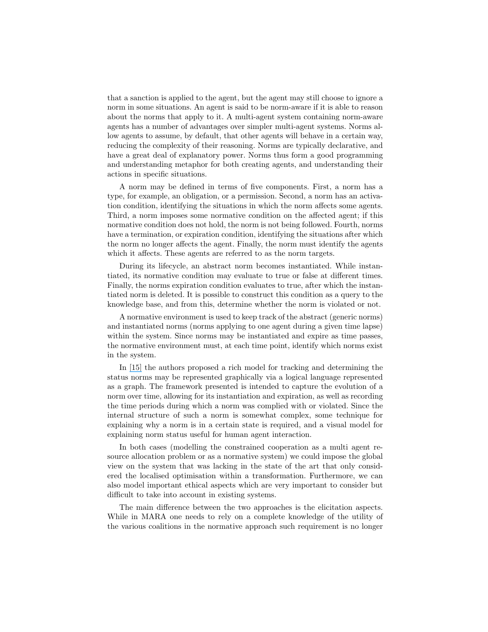that a sanction is applied to the agent, but the agent may still choose to ignore a norm in some situations. An agent is said to be norm-aware if it is able to reason about the norms that apply to it. A multi-agent system containing norm-aware agents has a number of advantages over simpler multi-agent systems. Norms allow agents to assume, by default, that other agents will behave in a certain way, reducing the complexity of their reasoning. Norms are typically declarative, and have a great deal of explanatory power. Norms thus form a good programming and understanding metaphor for both creating agents, and understanding their actions in specific situations.

A norm may be defined in terms of five components. First, a norm has a type, for example, an obligation, or a permission. Second, a norm has an activation condition, identifying the situations in which the norm affects some agents. Third, a norm imposes some normative condition on the affected agent; if this normative condition does not hold, the norm is not being followed. Fourth, norms have a termination, or expiration condition, identifying the situations after which the norm no longer affects the agent. Finally, the norm must identify the agents which it affects. These agents are referred to as the norm targets.

During its lifecycle, an abstract norm becomes instantiated. While instantiated, its normative condition may evaluate to true or false at different times. Finally, the norms expiration condition evaluates to true, after which the instantiated norm is deleted. It is possible to construct this condition as a query to the knowledge base, and from this, determine whether the norm is violated or not.

A normative environment is used to keep track of the abstract (generic norms) and instantiated norms (norms applying to one agent during a given time lapse) within the system. Since norms may be instantiated and expire as time passes, the normative environment must, at each time point, identify which norms exist in the system.

In [\[15\]](https://www.researchgate.net/publication/251621466_Graphical_Norms_via_Conceptual_Graphs?el=1_x_8&enrichId=rgreq-af77ebbfa6c76780ab23ece073af8003-XXX&enrichSource=Y292ZXJQYWdlOzMwMzkwMTA0ODtBUzo0MjA0MzQ4NDg4Mjk0NDFAMTQ3NzI1MDg4NzI0Ng==) the authors proposed a rich model for tracking and determining the status norms may be represented graphically via a logical language represented as a graph. The framework presented is intended to capture the evolution of a norm over time, allowing for its instantiation and expiration, as well as recording the time periods during which a norm was complied with or violated. Since the internal structure of such a norm is somewhat complex, some technique for explaining why a norm is in a certain state is required, and a visual model for explaining norm status useful for human agent interaction.

In both cases (modelling the constrained cooperation as a multi agent resource allocation problem or as a normative system) we could impose the global view on the system that was lacking in the state of the art that only considered the localised optimisation within a transformation. Furthermore, we can also model important ethical aspects which are very important to consider but difficult to take into account in existing systems.

The main difference between the two approaches is the elicitation aspects. While in MARA one needs to rely on a complete knowledge of the utility of the various coalitions in the normative approach such requirement is no longer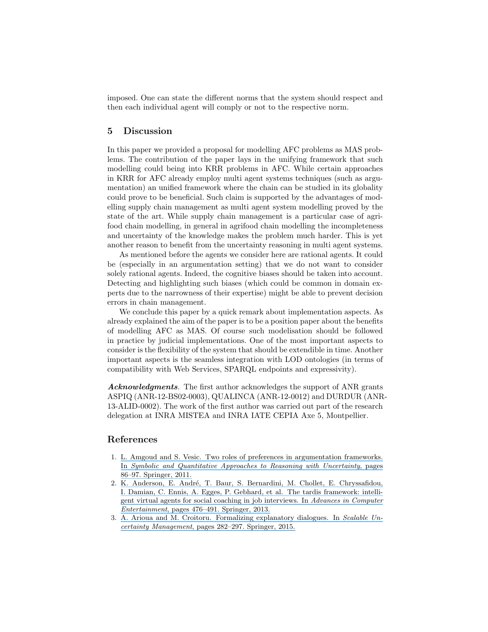imposed. One can state the different norms that the system should respect and then each individual agent will comply or not to the respective norm.

# 5 Discussion

In this paper we provided a proposal for modelling AFC problems as MAS problems. The contribution of the paper lays in the unifying framework that such modelling could being into KRR problems in AFC. While certain approaches in KRR for AFC already employ multi agent systems techniques (such as argumentation) an unified framework where the chain can be studied in its globality could prove to be beneficial. Such claim is supported by the advantages of modelling supply chain management as multi agent system modelling proved by the state of the art. While supply chain management is a particular case of agrifood chain modelling, in general in agrifood chain modelling the incompleteness and uncertainty of the knowledge makes the problem much harder. This is yet another reason to benefit from the uncertainty reasoning in multi agent systems.

As mentioned before the agents we consider here are rational agents. It could be (especially in an argumentation setting) that we do not want to consider solely rational agents. Indeed, the cognitive biases should be taken into account. Detecting and highlighting such biases (which could be common in domain experts due to the narrowness of their expertise) might be able to prevent decision errors in chain management.

We conclude this paper by a quick remark about implementation aspects. As already explained the aim of the paper is to be a position paper about the benefits of modelling AFC as MAS. Of course such modelisation should be followed in practice by judicial implementations. One of the most important aspects to consider is the flexibility of the system that should be extendible in time. Another important aspects is the seamless integration with LOD ontologies (in terms of compatibility with Web Services, SPARQL endpoints and expressivity).

*Acknowledgments.* The first author acknowledges the support of ANR grants ASPIQ (ANR-12-BS02-0003), QUALINCA (ANR-12-0012) and DURDUR (ANR-13-ALID-0002). The work of the first author was carried out part of the research delegation at INRA MISTEA and INRA IATE CEPIA Axe 5, Montpellier.

### References

- 1. [L. Amgoud and S. Vesic. Two roles of preferences in argumentation frameworks.](https://www.researchgate.net/publication/220907750_Two_Roles_of_Preferences_in_Argumentation_Frameworks?el=1_x_8&enrichId=rgreq-af77ebbfa6c76780ab23ece073af8003-XXX&enrichSource=Y292ZXJQYWdlOzMwMzkwMTA0ODtBUzo0MjA0MzQ4NDg4Mjk0NDFAMTQ3NzI1MDg4NzI0Ng==) In *[Symbolic and Quantitative Approaches to Reasoning with Uncertainty](https://www.researchgate.net/publication/220907750_Two_Roles_of_Preferences_in_Argumentation_Frameworks?el=1_x_8&enrichId=rgreq-af77ebbfa6c76780ab23ece073af8003-XXX&enrichSource=Y292ZXJQYWdlOzMwMzkwMTA0ODtBUzo0MjA0MzQ4NDg4Mjk0NDFAMTQ3NzI1MDg4NzI0Ng==)*, pages [86–97. Springer, 2011.](https://www.researchgate.net/publication/220907750_Two_Roles_of_Preferences_in_Argumentation_Frameworks?el=1_x_8&enrichId=rgreq-af77ebbfa6c76780ab23ece073af8003-XXX&enrichSource=Y292ZXJQYWdlOzMwMzkwMTA0ODtBUzo0MjA0MzQ4NDg4Mjk0NDFAMTQ3NzI1MDg4NzI0Ng==)
- 2. K. Anderson, E. André, T. Baur, S. Bernardini, M. Chollet, E. Chryssafidou, [I. Damian, C. Ennis, A. Egges, P. Gebhard, et al. The tardis framework: intelli](https://www.researchgate.net/publication/257652386_The_TARDIS_Framework_Intelligent_Virtual_Agents_for_Social_Coaching_in_Job_Interviews?el=1_x_8&enrichId=rgreq-af77ebbfa6c76780ab23ece073af8003-XXX&enrichSource=Y292ZXJQYWdlOzMwMzkwMTA0ODtBUzo0MjA0MzQ4NDg4Mjk0NDFAMTQ3NzI1MDg4NzI0Ng==)[gent virtual agents for social coaching in job interviews. In](https://www.researchgate.net/publication/257652386_The_TARDIS_Framework_Intelligent_Virtual_Agents_for_Social_Coaching_in_Job_Interviews?el=1_x_8&enrichId=rgreq-af77ebbfa6c76780ab23ece073af8003-XXX&enrichSource=Y292ZXJQYWdlOzMwMzkwMTA0ODtBUzo0MjA0MzQ4NDg4Mjk0NDFAMTQ3NzI1MDg4NzI0Ng==) *Advances in Computer Entertainment*[, pages 476–491. Springer, 2013.](https://www.researchgate.net/publication/257652386_The_TARDIS_Framework_Intelligent_Virtual_Agents_for_Social_Coaching_in_Job_Interviews?el=1_x_8&enrichId=rgreq-af77ebbfa6c76780ab23ece073af8003-XXX&enrichSource=Y292ZXJQYWdlOzMwMzkwMTA0ODtBUzo0MjA0MzQ4NDg4Mjk0NDFAMTQ3NzI1MDg4NzI0Ng==)
- 3. [A. Arioua and M. Croitoru. Formalizing explanatory dialogues. In](https://www.researchgate.net/publication/280671413_Formalizing_Explanatory_Dialogues?el=1_x_8&enrichId=rgreq-af77ebbfa6c76780ab23ece073af8003-XXX&enrichSource=Y292ZXJQYWdlOzMwMzkwMTA0ODtBUzo0MjA0MzQ4NDg4Mjk0NDFAMTQ3NzI1MDg4NzI0Ng==) *Scalable Uncertainty Management*[, pages 282–297. Springer, 2015.](https://www.researchgate.net/publication/280671413_Formalizing_Explanatory_Dialogues?el=1_x_8&enrichId=rgreq-af77ebbfa6c76780ab23ece073af8003-XXX&enrichSource=Y292ZXJQYWdlOzMwMzkwMTA0ODtBUzo0MjA0MzQ4NDg4Mjk0NDFAMTQ3NzI1MDg4NzI0Ng==)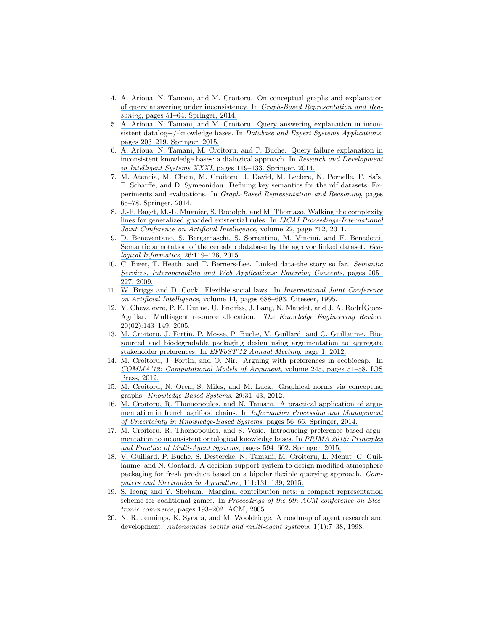- 4. [A. Arioua, N. Tamani, and M. Croitoru. On conceptual graphs and explanation](https://www.researchgate.net/publication/285689184_On_Conceptual_Graphs_and_Explanation_of_Query_Answering_under_Inconsistency?el=1_x_8&enrichId=rgreq-af77ebbfa6c76780ab23ece073af8003-XXX&enrichSource=Y292ZXJQYWdlOzMwMzkwMTA0ODtBUzo0MjA0MzQ4NDg4Mjk0NDFAMTQ3NzI1MDg4NzI0Ng==) [of query answering under inconsistency. In](https://www.researchgate.net/publication/285689184_On_Conceptual_Graphs_and_Explanation_of_Query_Answering_under_Inconsistency?el=1_x_8&enrichId=rgreq-af77ebbfa6c76780ab23ece073af8003-XXX&enrichSource=Y292ZXJQYWdlOzMwMzkwMTA0ODtBUzo0MjA0MzQ4NDg4Mjk0NDFAMTQ3NzI1MDg4NzI0Ng==) *Graph-Based Representation and Reasoning*[, pages 51–64. Springer, 2014.](https://www.researchgate.net/publication/285689184_On_Conceptual_Graphs_and_Explanation_of_Query_Answering_under_Inconsistency?el=1_x_8&enrichId=rgreq-af77ebbfa6c76780ab23ece073af8003-XXX&enrichSource=Y292ZXJQYWdlOzMwMzkwMTA0ODtBUzo0MjA0MzQ4NDg4Mjk0NDFAMTQ3NzI1MDg4NzI0Ng==)
- 5. [A. Arioua, N. Tamani, and M. Croitoru. Query answering explanation in incon](https://www.researchgate.net/publication/281696807_Query_Answering_Explanation_in_Inconsistent_Datalog-_Knowledge_Bases?el=1_x_8&enrichId=rgreq-af77ebbfa6c76780ab23ece073af8003-XXX&enrichSource=Y292ZXJQYWdlOzMwMzkwMTA0ODtBUzo0MjA0MzQ4NDg4Mjk0NDFAMTQ3NzI1MDg4NzI0Ng==)sistent datalog+/-knowledge bases. In *[Database and Expert Systems Applications](https://www.researchgate.net/publication/281696807_Query_Answering_Explanation_in_Inconsistent_Datalog-_Knowledge_Bases?el=1_x_8&enrichId=rgreq-af77ebbfa6c76780ab23ece073af8003-XXX&enrichSource=Y292ZXJQYWdlOzMwMzkwMTA0ODtBUzo0MjA0MzQ4NDg4Mjk0NDFAMTQ3NzI1MDg4NzI0Ng==)*, [pages 203–219. Springer, 2015.](https://www.researchgate.net/publication/281696807_Query_Answering_Explanation_in_Inconsistent_Datalog-_Knowledge_Bases?el=1_x_8&enrichId=rgreq-af77ebbfa6c76780ab23ece073af8003-XXX&enrichSource=Y292ZXJQYWdlOzMwMzkwMTA0ODtBUzo0MjA0MzQ4NDg4Mjk0NDFAMTQ3NzI1MDg4NzI0Ng==)
- 6. [A. Arioua, N. Tamani, M. Croitoru, and P. Buche. Query failure explanation in](https://www.researchgate.net/publication/272326470_Query_Failure_Explanation_in_Inconsistent_Knowledge_Bases_A_Dialogical_Approach?el=1_x_8&enrichId=rgreq-af77ebbfa6c76780ab23ece073af8003-XXX&enrichSource=Y292ZXJQYWdlOzMwMzkwMTA0ODtBUzo0MjA0MzQ4NDg4Mjk0NDFAMTQ3NzI1MDg4NzI0Ng==) [inconsistent knowledge bases: a dialogical approach. In](https://www.researchgate.net/publication/272326470_Query_Failure_Explanation_in_Inconsistent_Knowledge_Bases_A_Dialogical_Approach?el=1_x_8&enrichId=rgreq-af77ebbfa6c76780ab23ece073af8003-XXX&enrichSource=Y292ZXJQYWdlOzMwMzkwMTA0ODtBUzo0MjA0MzQ4NDg4Mjk0NDFAMTQ3NzI1MDg4NzI0Ng==) *Research and Development in Intelligent Systems XXXI*[, pages 119–133. Springer, 2014.](https://www.researchgate.net/publication/272326470_Query_Failure_Explanation_in_Inconsistent_Knowledge_Bases_A_Dialogical_Approach?el=1_x_8&enrichId=rgreq-af77ebbfa6c76780ab23ece073af8003-XXX&enrichSource=Y292ZXJQYWdlOzMwMzkwMTA0ODtBUzo0MjA0MzQ4NDg4Mjk0NDFAMTQ3NzI1MDg4NzI0Ng==)
- 7. M. Atencia, M. Chein, M. Croitoru, J. David, M. Leclere, N. Pernelle, F. Saïs, F. Scharffe, and D. Symeonidou. Defining key semantics for the rdf datasets: Experiments and evaluations. In *Graph-Based Representation and Reasoning*, pages 65–78. Springer, 2014.
- 8. [J.-F. Baget, M.-L. Mugnier, S. Rudolph, and M. Thomazo. Walking the complexity](https://www.researchgate.net/publication/220813386_Walking_the_Complexity_Lines_for_Generalized_Guarded_Existential_Rules?el=1_x_8&enrichId=rgreq-af77ebbfa6c76780ab23ece073af8003-XXX&enrichSource=Y292ZXJQYWdlOzMwMzkwMTA0ODtBUzo0MjA0MzQ4NDg4Mjk0NDFAMTQ3NzI1MDg4NzI0Ng==) [lines for generalized guarded existential rules. In](https://www.researchgate.net/publication/220813386_Walking_the_Complexity_Lines_for_Generalized_Guarded_Existential_Rules?el=1_x_8&enrichId=rgreq-af77ebbfa6c76780ab23ece073af8003-XXX&enrichSource=Y292ZXJQYWdlOzMwMzkwMTA0ODtBUzo0MjA0MzQ4NDg4Mjk0NDFAMTQ3NzI1MDg4NzI0Ng==) *IJCAI Proceedings-International [Joint Conference on Artificial Intelligence](https://www.researchgate.net/publication/220813386_Walking_the_Complexity_Lines_for_Generalized_Guarded_Existential_Rules?el=1_x_8&enrichId=rgreq-af77ebbfa6c76780ab23ece073af8003-XXX&enrichSource=Y292ZXJQYWdlOzMwMzkwMTA0ODtBUzo0MjA0MzQ4NDg4Mjk0NDFAMTQ3NzI1MDg4NzI0Ng==)*, volume 22, page 712, 2011.
- 9. [D. Beneventano, S. Bergamaschi, S. Sorrentino, M. Vincini, and F. Benedetti.](https://www.researchgate.net/publication/262363579_Semantic_annotation_of_the_CEREALAB_database_by_the_AGROVOC_linked_dataset?el=1_x_8&enrichId=rgreq-af77ebbfa6c76780ab23ece073af8003-XXX&enrichSource=Y292ZXJQYWdlOzMwMzkwMTA0ODtBUzo0MjA0MzQ4NDg4Mjk0NDFAMTQ3NzI1MDg4NzI0Ng==) [Semantic annotation of the cerealab database by the agrovoc linked dataset.](https://www.researchgate.net/publication/262363579_Semantic_annotation_of_the_CEREALAB_database_by_the_AGROVOC_linked_dataset?el=1_x_8&enrichId=rgreq-af77ebbfa6c76780ab23ece073af8003-XXX&enrichSource=Y292ZXJQYWdlOzMwMzkwMTA0ODtBUzo0MjA0MzQ4NDg4Mjk0NDFAMTQ3NzI1MDg4NzI0Ng==) *Ecological Informatics*[, 26:119–126, 2015.](https://www.researchgate.net/publication/262363579_Semantic_annotation_of_the_CEREALAB_database_by_the_AGROVOC_linked_dataset?el=1_x_8&enrichId=rgreq-af77ebbfa6c76780ab23ece073af8003-XXX&enrichSource=Y292ZXJQYWdlOzMwMzkwMTA0ODtBUzo0MjA0MzQ4NDg4Mjk0NDFAMTQ3NzI1MDg4NzI0Ng==)
- 10. [C. Bizer, T. Heath, and T. Berners-Lee. Linked data-the story so far.](https://www.researchgate.net/publication/262599397_Linked_Data_the_story_so_far?el=1_x_8&enrichId=rgreq-af77ebbfa6c76780ab23ece073af8003-XXX&enrichSource=Y292ZXJQYWdlOzMwMzkwMTA0ODtBUzo0MjA0MzQ4NDg4Mjk0NDFAMTQ3NzI1MDg4NzI0Ng==) *Semantic [Services, Interoperability and Web Applications: Emerging Concepts](https://www.researchgate.net/publication/262599397_Linked_Data_the_story_so_far?el=1_x_8&enrichId=rgreq-af77ebbfa6c76780ab23ece073af8003-XXX&enrichSource=Y292ZXJQYWdlOzMwMzkwMTA0ODtBUzo0MjA0MzQ4NDg4Mjk0NDFAMTQ3NzI1MDg4NzI0Ng==)*, pages 205– [227, 2009.](https://www.researchgate.net/publication/262599397_Linked_Data_the_story_so_far?el=1_x_8&enrichId=rgreq-af77ebbfa6c76780ab23ece073af8003-XXX&enrichSource=Y292ZXJQYWdlOzMwMzkwMTA0ODtBUzo0MjA0MzQ4NDg4Mjk0NDFAMTQ3NzI1MDg4NzI0Ng==)
- 11. [W. Briggs and D. Cook. Flexible social laws. In](https://www.researchgate.net/publication/2246282_Flexible_Social_Laws?el=1_x_8&enrichId=rgreq-af77ebbfa6c76780ab23ece073af8003-XXX&enrichSource=Y292ZXJQYWdlOzMwMzkwMTA0ODtBUzo0MjA0MzQ4NDg4Mjk0NDFAMTQ3NzI1MDg4NzI0Ng==) *International Joint Conference on Artificial Intelligence*[, volume 14, pages 688–693. Citeseer, 1995.](https://www.researchgate.net/publication/2246282_Flexible_Social_Laws?el=1_x_8&enrichId=rgreq-af77ebbfa6c76780ab23ece073af8003-XXX&enrichSource=Y292ZXJQYWdlOzMwMzkwMTA0ODtBUzo0MjA0MzQ4NDg4Mjk0NDFAMTQ3NzI1MDg4NzI0Ng==)
- 12. Y. Chevaleyre, P. E. Dunne, U. Endriss, J. Lang, N. Maudet, and J. A. RodrÍGuez-Aguilar. Multiagent resource allocation. *The Knowledge Engineering Review*, 20(02):143–149, 2005.
- 13. [M. Croitoru, J. Fortin, P. Mosse, P. Buche, V. Guillard, and C. Guillaume. Bio](https://www.researchgate.net/publication/278627018_Bio-Sourced_and_Biodegradable_Packaging_design_Using_Argumentation_to_Aggregate_Stakeholder_Preferences?el=1_x_8&enrichId=rgreq-af77ebbfa6c76780ab23ece073af8003-XXX&enrichSource=Y292ZXJQYWdlOzMwMzkwMTA0ODtBUzo0MjA0MzQ4NDg4Mjk0NDFAMTQ3NzI1MDg4NzI0Ng==)[sourced and biodegradable packaging design using argumentation to aggregate](https://www.researchgate.net/publication/278627018_Bio-Sourced_and_Biodegradable_Packaging_design_Using_Argumentation_to_Aggregate_Stakeholder_Preferences?el=1_x_8&enrichId=rgreq-af77ebbfa6c76780ab23ece073af8003-XXX&enrichSource=Y292ZXJQYWdlOzMwMzkwMTA0ODtBUzo0MjA0MzQ4NDg4Mjk0NDFAMTQ3NzI1MDg4NzI0Ng==) stakeholder preferences. In *[EFFoST'12 Annual Meeting](https://www.researchgate.net/publication/278627018_Bio-Sourced_and_Biodegradable_Packaging_design_Using_Argumentation_to_Aggregate_Stakeholder_Preferences?el=1_x_8&enrichId=rgreq-af77ebbfa6c76780ab23ece073af8003-XXX&enrichSource=Y292ZXJQYWdlOzMwMzkwMTA0ODtBUzo0MjA0MzQ4NDg4Mjk0NDFAMTQ3NzI1MDg4NzI0Ng==)*, page 1, 2012.
- 14. [M. Croitoru, J. Fortin, and O. Nir. Arguing with preferences in ecobiocap. In](https://www.researchgate.net/publication/260351321_Arguing_with_Preferences_in_EcoBioCap?el=1_x_8&enrichId=rgreq-af77ebbfa6c76780ab23ece073af8003-XXX&enrichSource=Y292ZXJQYWdlOzMwMzkwMTA0ODtBUzo0MjA0MzQ4NDg4Mjk0NDFAMTQ3NzI1MDg4NzI0Ng==) *[COMMA'12: Computational Models of Argument](https://www.researchgate.net/publication/260351321_Arguing_with_Preferences_in_EcoBioCap?el=1_x_8&enrichId=rgreq-af77ebbfa6c76780ab23ece073af8003-XXX&enrichSource=Y292ZXJQYWdlOzMwMzkwMTA0ODtBUzo0MjA0MzQ4NDg4Mjk0NDFAMTQ3NzI1MDg4NzI0Ng==)*, volume 245, pages 51–58. IOS [Press, 2012.](https://www.researchgate.net/publication/260351321_Arguing_with_Preferences_in_EcoBioCap?el=1_x_8&enrichId=rgreq-af77ebbfa6c76780ab23ece073af8003-XXX&enrichSource=Y292ZXJQYWdlOzMwMzkwMTA0ODtBUzo0MjA0MzQ4NDg4Mjk0NDFAMTQ3NzI1MDg4NzI0Ng==)
- 15. [M. Croitoru, N. Oren, S. Miles, and M. Luck. Graphical norms via conceptual](https://www.researchgate.net/publication/251621466_Graphical_Norms_via_Conceptual_Graphs?el=1_x_8&enrichId=rgreq-af77ebbfa6c76780ab23ece073af8003-XXX&enrichSource=Y292ZXJQYWdlOzMwMzkwMTA0ODtBUzo0MjA0MzQ4NDg4Mjk0NDFAMTQ3NzI1MDg4NzI0Ng==) graphs. *[Knowledge-Based Systems](https://www.researchgate.net/publication/251621466_Graphical_Norms_via_Conceptual_Graphs?el=1_x_8&enrichId=rgreq-af77ebbfa6c76780ab23ece073af8003-XXX&enrichSource=Y292ZXJQYWdlOzMwMzkwMTA0ODtBUzo0MjA0MzQ4NDg4Mjk0NDFAMTQ3NzI1MDg4NzI0Ng==)*, 29:31–43, 2012.
- 16. [M. Croitoru, R. Thomopoulos, and N. Tamani. A practical application of argu](https://www.researchgate.net/publication/274709242_A_Practical_Application_of_Argumentation_in_French_Agrifood_Chains?el=1_x_8&enrichId=rgreq-af77ebbfa6c76780ab23ece073af8003-XXX&enrichSource=Y292ZXJQYWdlOzMwMzkwMTA0ODtBUzo0MjA0MzQ4NDg4Mjk0NDFAMTQ3NzI1MDg4NzI0Ng==)mentation in french agrifood chains. In *[Information Processing and Management](https://www.researchgate.net/publication/274709242_A_Practical_Application_of_Argumentation_in_French_Agrifood_Chains?el=1_x_8&enrichId=rgreq-af77ebbfa6c76780ab23ece073af8003-XXX&enrichSource=Y292ZXJQYWdlOzMwMzkwMTA0ODtBUzo0MjA0MzQ4NDg4Mjk0NDFAMTQ3NzI1MDg4NzI0Ng==) [of Uncertainty in Knowledge-Based Systems](https://www.researchgate.net/publication/274709242_A_Practical_Application_of_Argumentation_in_French_Agrifood_Chains?el=1_x_8&enrichId=rgreq-af77ebbfa6c76780ab23ece073af8003-XXX&enrichSource=Y292ZXJQYWdlOzMwMzkwMTA0ODtBUzo0MjA0MzQ4NDg4Mjk0NDFAMTQ3NzI1MDg4NzI0Ng==)*, pages 56–66. Springer, 2014.
- 17. [M. Croitoru, R. Thomopoulos, and S. Vesic. Introducing preference-based argu](https://www.researchgate.net/publication/300250355_Introducing_Preference-Based_Argumentation_to_Inconsistent_Ontological_Knowledge_Bases?el=1_x_8&enrichId=rgreq-af77ebbfa6c76780ab23ece073af8003-XXX&enrichSource=Y292ZXJQYWdlOzMwMzkwMTA0ODtBUzo0MjA0MzQ4NDg4Mjk0NDFAMTQ3NzI1MDg4NzI0Ng==)[mentation to inconsistent ontological knowledge bases. In](https://www.researchgate.net/publication/300250355_Introducing_Preference-Based_Argumentation_to_Inconsistent_Ontological_Knowledge_Bases?el=1_x_8&enrichId=rgreq-af77ebbfa6c76780ab23ece073af8003-XXX&enrichSource=Y292ZXJQYWdlOzMwMzkwMTA0ODtBUzo0MjA0MzQ4NDg4Mjk0NDFAMTQ3NzI1MDg4NzI0Ng==) *PRIMA 2015: Principles [and Practice of Multi-Agent Systems](https://www.researchgate.net/publication/300250355_Introducing_Preference-Based_Argumentation_to_Inconsistent_Ontological_Knowledge_Bases?el=1_x_8&enrichId=rgreq-af77ebbfa6c76780ab23ece073af8003-XXX&enrichSource=Y292ZXJQYWdlOzMwMzkwMTA0ODtBUzo0MjA0MzQ4NDg4Mjk0NDFAMTQ3NzI1MDg4NzI0Ng==)*, pages 594–602. Springer, 2015.
- 18. [V. Guillard, P. Buche, S. Destercke, N. Tamani, M. Croitoru, L. Menut, C. Guil](https://www.researchgate.net/publication/273401799_A_Decision_Support_System_to_design_modified_atmosphere_packaging_for_fresh_produce_based_on_a_bipolar_flexible_querying_approach?el=1_x_8&enrichId=rgreq-af77ebbfa6c76780ab23ece073af8003-XXX&enrichSource=Y292ZXJQYWdlOzMwMzkwMTA0ODtBUzo0MjA0MzQ4NDg4Mjk0NDFAMTQ3NzI1MDg4NzI0Ng==)[laume, and N. Gontard. A decision support system to design modified atmosphere](https://www.researchgate.net/publication/273401799_A_Decision_Support_System_to_design_modified_atmosphere_packaging_for_fresh_produce_based_on_a_bipolar_flexible_querying_approach?el=1_x_8&enrichId=rgreq-af77ebbfa6c76780ab23ece073af8003-XXX&enrichSource=Y292ZXJQYWdlOzMwMzkwMTA0ODtBUzo0MjA0MzQ4NDg4Mjk0NDFAMTQ3NzI1MDg4NzI0Ng==) [packaging for fresh produce based on a bipolar flexible querying approach.](https://www.researchgate.net/publication/273401799_A_Decision_Support_System_to_design_modified_atmosphere_packaging_for_fresh_produce_based_on_a_bipolar_flexible_querying_approach?el=1_x_8&enrichId=rgreq-af77ebbfa6c76780ab23ece073af8003-XXX&enrichSource=Y292ZXJQYWdlOzMwMzkwMTA0ODtBUzo0MjA0MzQ4NDg4Mjk0NDFAMTQ3NzI1MDg4NzI0Ng==) *Com[puters and Electronics in Agriculture](https://www.researchgate.net/publication/273401799_A_Decision_Support_System_to_design_modified_atmosphere_packaging_for_fresh_produce_based_on_a_bipolar_flexible_querying_approach?el=1_x_8&enrichId=rgreq-af77ebbfa6c76780ab23ece073af8003-XXX&enrichSource=Y292ZXJQYWdlOzMwMzkwMTA0ODtBUzo0MjA0MzQ4NDg4Mjk0NDFAMTQ3NzI1MDg4NzI0Ng==)*, 111:131–139, 2015.
- 19. [S. Ieong and Y. Shoham. Marginal contribution nets: a compact representation](https://www.researchgate.net/publication/221445062_Marginal_contribution_nets_A_compact_representation_scheme_for_coalitional_games?el=1_x_8&enrichId=rgreq-af77ebbfa6c76780ab23ece073af8003-XXX&enrichSource=Y292ZXJQYWdlOzMwMzkwMTA0ODtBUzo0MjA0MzQ4NDg4Mjk0NDFAMTQ3NzI1MDg4NzI0Ng==) scheme for coalitional games. In *[Proceedings of the 6th ACM conference on Elec](https://www.researchgate.net/publication/221445062_Marginal_contribution_nets_A_compact_representation_scheme_for_coalitional_games?el=1_x_8&enrichId=rgreq-af77ebbfa6c76780ab23ece073af8003-XXX&enrichSource=Y292ZXJQYWdlOzMwMzkwMTA0ODtBUzo0MjA0MzQ4NDg4Mjk0NDFAMTQ3NzI1MDg4NzI0Ng==)tronic commerce*[, pages 193–202. ACM, 2005.](https://www.researchgate.net/publication/221445062_Marginal_contribution_nets_A_compact_representation_scheme_for_coalitional_games?el=1_x_8&enrichId=rgreq-af77ebbfa6c76780ab23ece073af8003-XXX&enrichSource=Y292ZXJQYWdlOzMwMzkwMTA0ODtBUzo0MjA0MzQ4NDg4Mjk0NDFAMTQ3NzI1MDg4NzI0Ng==)
- 20. N. R. Jennings, K. Sycara, and M. Wooldridge. A roadmap of agent research and development. *Autonomous agents and multi-agent systems*, 1(1):7–38, 1998.